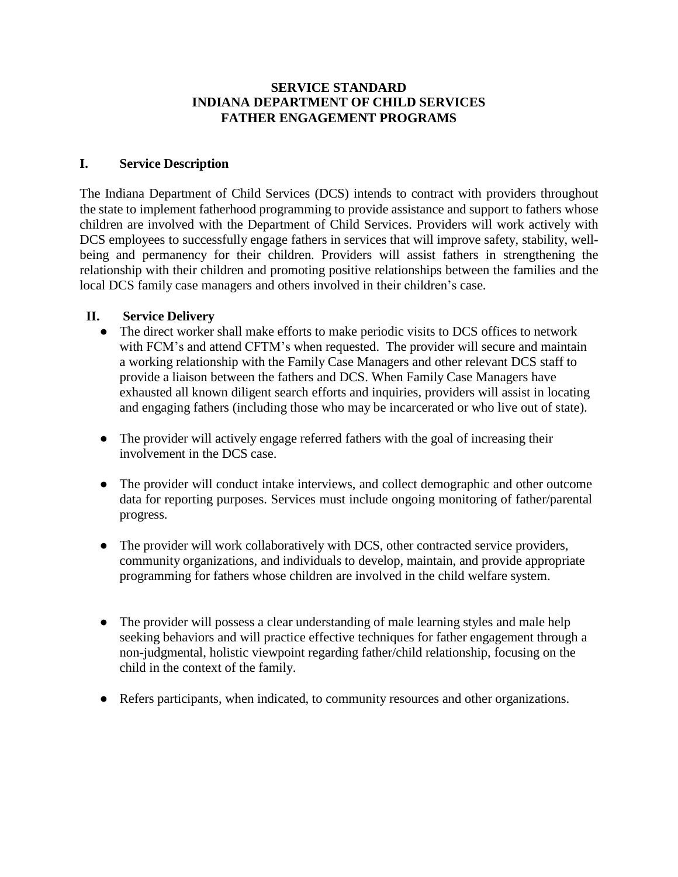### **SERVICE STANDARD INDIANA DEPARTMENT OF CHILD SERVICES FATHER ENGAGEMENT PROGRAMS**

### **I. Service Description**

The Indiana Department of Child Services (DCS) intends to contract with providers throughout the state to implement fatherhood programming to provide assistance and support to fathers whose children are involved with the Department of Child Services. Providers will work actively with DCS employees to successfully engage fathers in services that will improve safety, stability, wellbeing and permanency for their children. Providers will assist fathers in strengthening the relationship with their children and promoting positive relationships between the families and the local DCS family case managers and others involved in their children's case.

### **II. Service Delivery**

- The direct worker shall make efforts to make periodic visits to DCS offices to network with FCM's and attend CFTM's when requested. The provider will secure and maintain a working relationship with the Family Case Managers and other relevant DCS staff to provide a liaison between the fathers and DCS. When Family Case Managers have exhausted all known diligent search efforts and inquiries, providers will assist in locating and engaging fathers (including those who may be incarcerated or who live out of state).
- The provider will actively engage referred fathers with the goal of increasing their involvement in the DCS case.
- The provider will conduct intake interviews, and collect demographic and other outcome data for reporting purposes. Services must include ongoing monitoring of father/parental progress.
- The provider will work collaboratively with DCS, other contracted service providers, community organizations, and individuals to develop, maintain, and provide appropriate programming for fathers whose children are involved in the child welfare system.
- The provider will possess a clear understanding of male learning styles and male help seeking behaviors and will practice effective techniques for father engagement through a non-judgmental, holistic viewpoint regarding father/child relationship, focusing on the child in the context of the family.
- Refers participants, when indicated, to community resources and other organizations.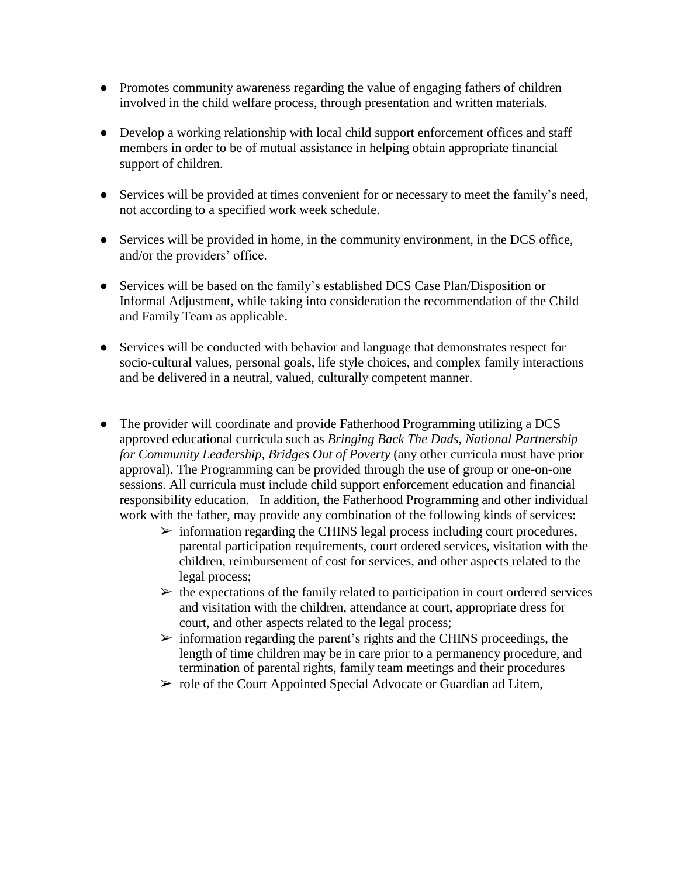- Promotes community awareness regarding the value of engaging fathers of children involved in the child welfare process, through presentation and written materials.
- Develop a working relationship with local child support enforcement offices and staff members in order to be of mutual assistance in helping obtain appropriate financial support of children.
- Services will be provided at times convenient for or necessary to meet the family's need, not according to a specified work week schedule.
- Services will be provided in home, in the community environment, in the DCS office, and/or the providers' office.
- Services will be based on the family's established DCS Case Plan/Disposition or Informal Adjustment, while taking into consideration the recommendation of the Child and Family Team as applicable.
- Services will be conducted with behavior and language that demonstrates respect for socio-cultural values, personal goals, life style choices, and complex family interactions and be delivered in a neutral, valued, culturally competent manner.
- The provider will coordinate and provide Fatherhood Programming utilizing a DCS approved educational curricula such as *Bringing Back The Dads*, *National Partnership for Community Leadership, Bridges Out of Poverty* (any other curricula must have prior approval). The Programming can be provided through the use of group or one-on-one sessions. All curricula must include child support enforcement education and financial responsibility education. In addition, the Fatherhood Programming and other individual work with the father, may provide any combination of the following kinds of services:
	- $\triangleright$  information regarding the CHINS legal process including court procedures, parental participation requirements, court ordered services, visitation with the children, reimbursement of cost for services, and other aspects related to the legal process;
	- $\triangleright$  the expectations of the family related to participation in court ordered services and visitation with the children, attendance at court, appropriate dress for court, and other aspects related to the legal process;
	- $\triangleright$  information regarding the parent's rights and the CHINS proceedings, the length of time children may be in care prior to a permanency procedure, and termination of parental rights, family team meetings and their procedures
	- $\triangleright$  role of the Court Appointed Special Advocate or Guardian ad Litem,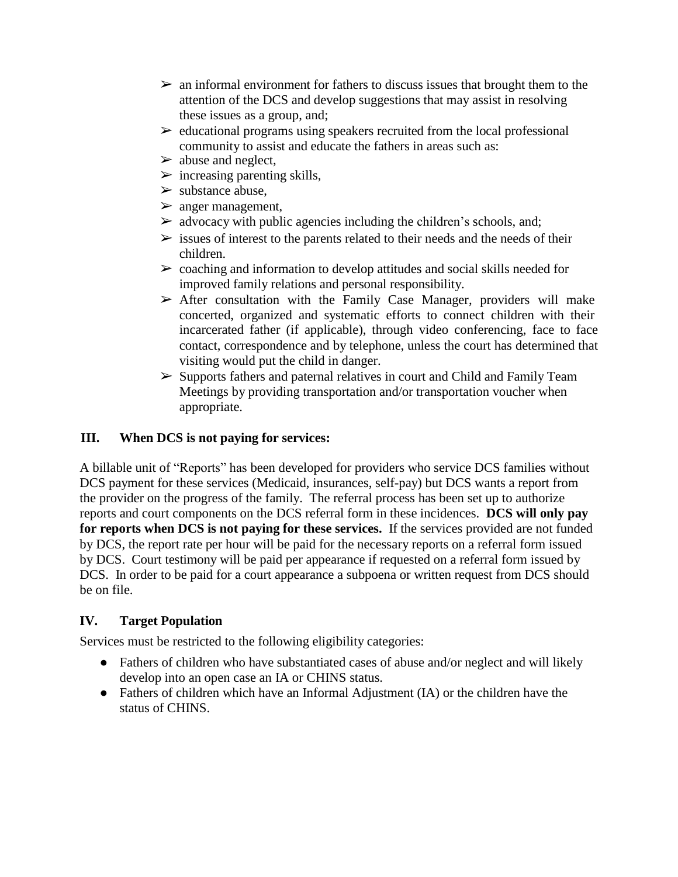- $\triangleright$  an informal environment for fathers to discuss issues that brought them to the attention of the DCS and develop suggestions that may assist in resolving these issues as a group, and;
- $\triangleright$  educational programs using speakers recruited from the local professional community to assist and educate the fathers in areas such as:
- $\triangleright$  abuse and neglect,
- $\triangleright$  increasing parenting skills,
- $\triangleright$  substance abuse.
- $\triangleright$  anger management,
- $\triangleright$  advocacy with public agencies including the children's schools, and;
- $\triangleright$  issues of interest to the parents related to their needs and the needs of their children.
- $\triangleright$  coaching and information to develop attitudes and social skills needed for improved family relations and personal responsibility.
- $\triangleright$  After consultation with the Family Case Manager, providers will make concerted, organized and systematic efforts to connect children with their incarcerated father (if applicable), through video conferencing, face to face contact, correspondence and by telephone, unless the court has determined that visiting would put the child in danger.
- ➢ Supports fathers and paternal relatives in court and Child and Family Team Meetings by providing transportation and/or transportation voucher when appropriate.

## **III. When DCS is not paying for services:**

A billable unit of "Reports" has been developed for providers who service DCS families without DCS payment for these services (Medicaid, insurances, self-pay) but DCS wants a report from the provider on the progress of the family. The referral process has been set up to authorize reports and court components on the DCS referral form in these incidences. **DCS will only pay for reports when DCS is not paying for these services.** If the services provided are not funded by DCS, the report rate per hour will be paid for the necessary reports on a referral form issued by DCS. Court testimony will be paid per appearance if requested on a referral form issued by DCS. In order to be paid for a court appearance a subpoena or written request from DCS should be on file.

## **IV. Target Population**

Services must be restricted to the following eligibility categories:

- Fathers of children who have substantiated cases of abuse and/or neglect and will likely develop into an open case an IA or CHINS status.
- Fathers of children which have an Informal Adjustment (IA) or the children have the status of CHINS.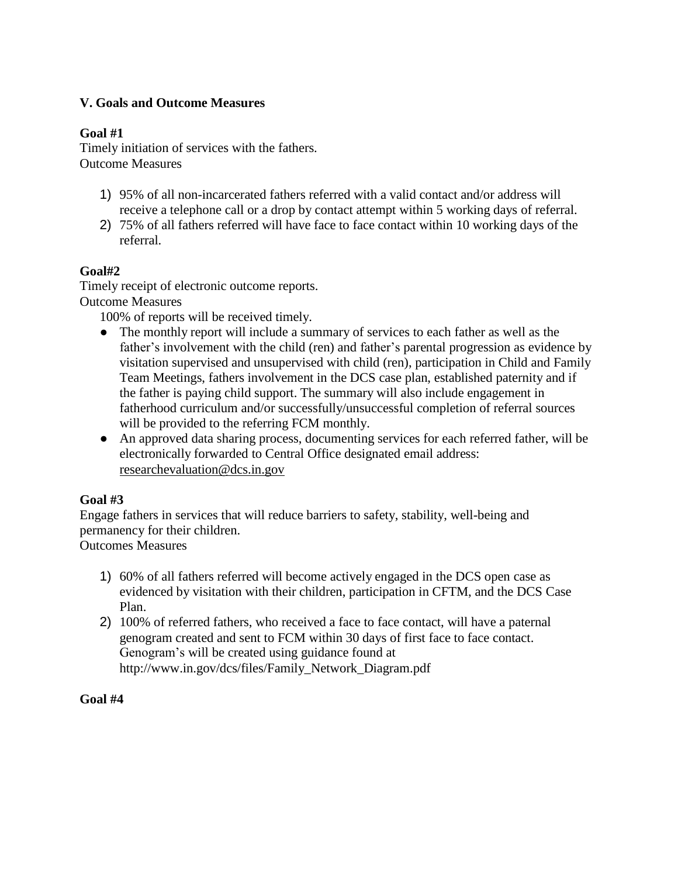## **V. Goals and Outcome Measures**

### **Goal #1**

Timely initiation of services with the fathers. Outcome Measures

- 1) 95% of all non-incarcerated fathers referred with a valid contact and/or address will receive a telephone call or a drop by contact attempt within 5 working days of referral.
- 2) 75% of all fathers referred will have face to face contact within 10 working days of the referral.

## **Goal#2**

Timely receipt of electronic outcome reports. Outcome Measures

100% of reports will be received timely.

- The monthly report will include a summary of services to each father as well as the father's involvement with the child (ren) and father's parental progression as evidence by visitation supervised and unsupervised with child (ren), participation in Child and Family Team Meetings, fathers involvement in the DCS case plan, established paternity and if the father is paying child support. The summary will also include engagement in fatherhood curriculum and/or successfully/unsuccessful completion of referral sources will be provided to the referring FCM monthly.
- An approved data sharing process, documenting services for each referred father, will be electronically forwarded to Central Office designated email address: [researchevaluation@dcs.in.gov](mailto:researchevaluation@dcs.in.gov)

## **Goal #3**

Engage fathers in services that will reduce barriers to safety, stability, well-being and permanency for their children. Outcomes Measures

- 1) 60% of all fathers referred will become actively engaged in the DCS open case as evidenced by visitation with their children, participation in CFTM, and the DCS Case Plan.
- 2) 100% of referred fathers, who received a face to face contact, will have a paternal genogram created and sent to FCM within 30 days of first face to face contact. Genogram's will be created using guidance found a[t](http://www.in.gov/dcs/files/Family_Network_Diagram.pdf) [http://www.in.gov/dcs/files/Family\\_Network\\_Diagram.pdf](http://www.in.gov/dcs/files/Family_Network_Diagram.pdf)

#### **Goal #4**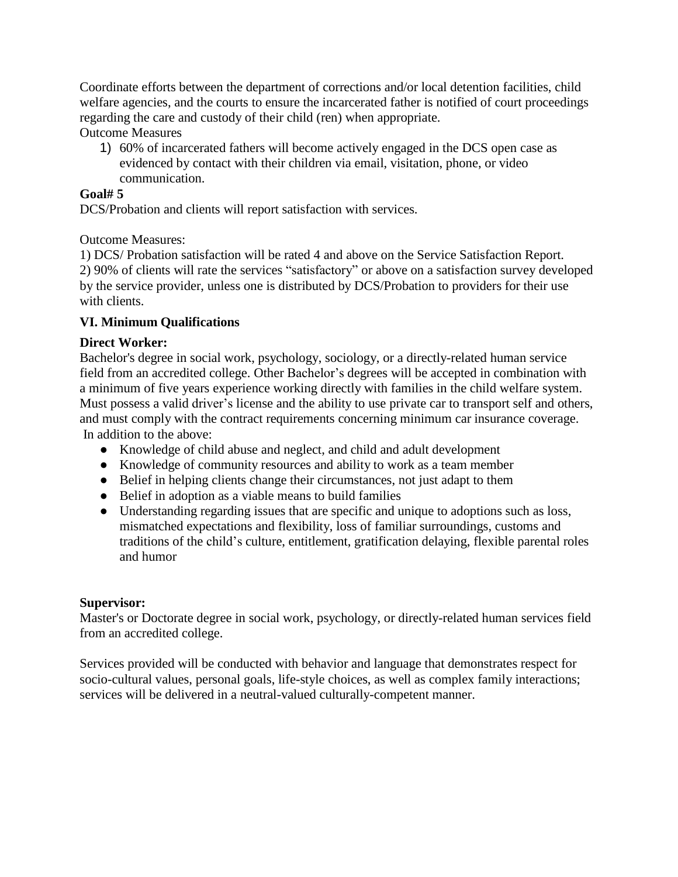Coordinate efforts between the department of corrections and/or local detention facilities, child welfare agencies, and the courts to ensure the incarcerated father is notified of court proceedings regarding the care and custody of their child (ren) when appropriate.

Outcome Measures

1) 60% of incarcerated fathers will become actively engaged in the DCS open case as evidenced by contact with their children via email, visitation, phone, or video communication.

### **Goal# 5**

DCS/Probation and clients will report satisfaction with services.

## Outcome Measures:

1) DCS/ Probation satisfaction will be rated 4 and above on the Service Satisfaction Report. 2) 90% of clients will rate the services "satisfactory" or above on a satisfaction survey developed by the service provider, unless one is distributed by DCS/Probation to providers for their use with clients.

# **VI. Minimum Qualifications**

## **Direct Worker:**

Bachelor's degree in social work, psychology, sociology, or a directly-related human service field from an accredited college. Other Bachelor's degrees will be accepted in combination with a minimum of five years experience working directly with families in the child welfare system. Must possess a valid driver's license and the ability to use private car to transport self and others, and must comply with the contract requirements concerning minimum car insurance coverage. In addition to the above:

- Knowledge of child abuse and neglect, and child and adult development
- Knowledge of community resources and ability to work as a team member
- Belief in helping clients change their circumstances, not just adapt to them
- Belief in adoption as a viable means to build families
- Understanding regarding issues that are specific and unique to adoptions such as loss, mismatched expectations and flexibility, loss of familiar surroundings, customs and traditions of the child's culture, entitlement, gratification delaying, flexible parental roles and humor

## **Supervisor:**

Master's or Doctorate degree in social work, psychology, or directly-related human services field from an accredited college.

Services provided will be conducted with behavior and language that demonstrates respect for socio-cultural values, personal goals, life-style choices, as well as complex family interactions; services will be delivered in a neutral-valued culturally-competent manner.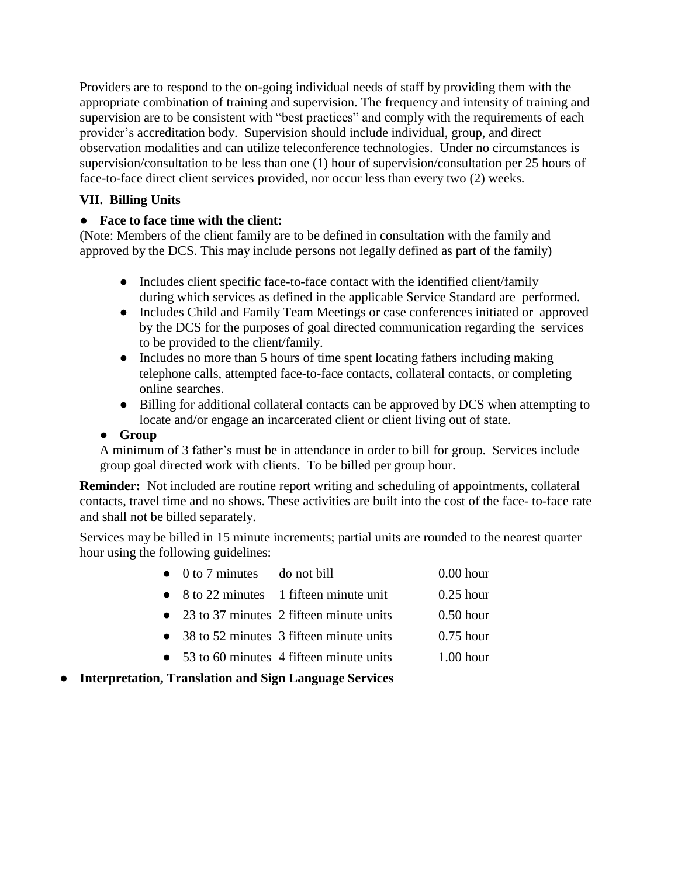Providers are to respond to the on-going individual needs of staff by providing them with the appropriate combination of training and supervision. The frequency and intensity of training and supervision are to be consistent with "best practices" and comply with the requirements of each provider's accreditation body. Supervision should include individual, group, and direct observation modalities and can utilize teleconference technologies. Under no circumstances is supervision/consultation to be less than one (1) hour of supervision/consultation per 25 hours of face-to-face direct client services provided, nor occur less than every two (2) weeks.

# **VII. Billing Units**

## ● **Face to face time with the client:**

(Note: Members of the client family are to be defined in consultation with the family and approved by the DCS. This may include persons not legally defined as part of the family)

- Includes client specific face-to-face contact with the identified client/family during which services as defined in the applicable Service Standard are performed.
- Includes Child and Family Team Meetings or case conferences initiated or approved by the DCS for the purposes of goal directed communication regarding the services to be provided to the client/family.
- Includes no more than 5 hours of time spent locating fathers including making telephone calls, attempted face-to-face contacts, collateral contacts, or completing online searches.
- Billing for additional collateral contacts can be approved by DCS when attempting to locate and/or engage an incarcerated client or client living out of state.

## ● **Group**

A minimum of 3 father's must be in attendance in order to bill for group. Services include group goal directed work with clients. To be billed per group hour.

**Reminder:** Not included are routine report writing and scheduling of appointments, collateral contacts, travel time and no shows. These activities are built into the cost of the face- to-face rate and shall not be billed separately.

Services may be billed in 15 minute increments; partial units are rounded to the nearest quarter hour using the following guidelines:

| $\bullet$ 0 to 7 minutes do not bill |                                                 | $0.00$ hour |
|--------------------------------------|-------------------------------------------------|-------------|
|                                      | $\bullet$ 8 to 22 minutes 1 fifteen minute unit | $0.25$ hour |
|                                      | • 23 to 37 minutes 2 fifteen minute units       | $0.50$ hour |
|                                      |                                                 |             |

- 38 to 52 minutes 3 fifteen minute units 0.75 hour
- 53 to 60 minutes 4 fifteen minute units 1.00 hour
- **Interpretation, Translation and Sign Language Services**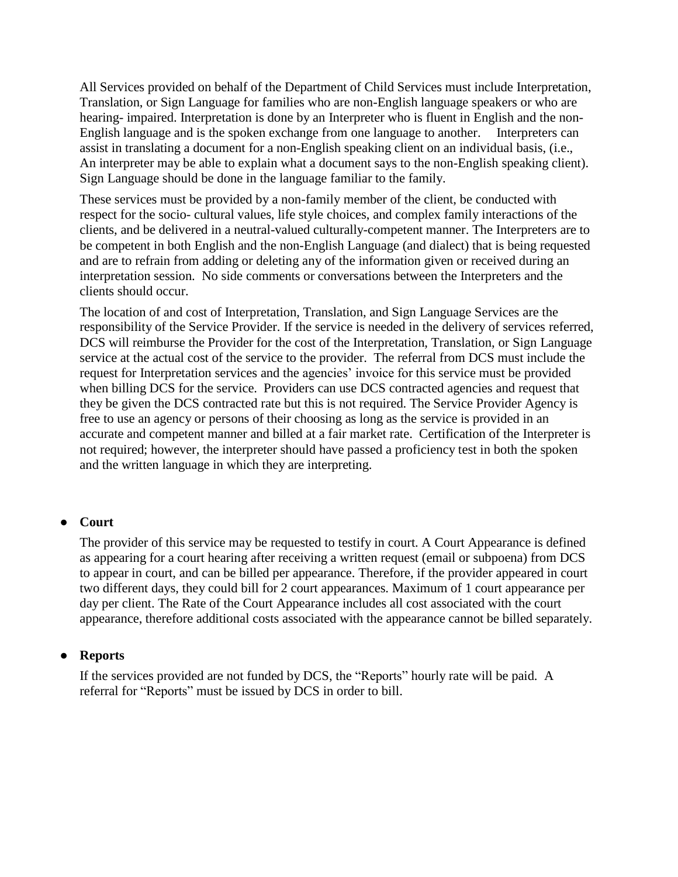All Services provided on behalf of the Department of Child Services must include Interpretation, Translation, or Sign Language for families who are non-English language speakers or who are hearing- impaired. Interpretation is done by an Interpreter who is fluent in English and the non-English language and is the spoken exchange from one language to another. Interpreters can assist in translating a document for a non-English speaking client on an individual basis, (i.e., An interpreter may be able to explain what a document says to the non-English speaking client). Sign Language should be done in the language familiar to the family.

These services must be provided by a non-family member of the client, be conducted with respect for the socio- cultural values, life style choices, and complex family interactions of the clients, and be delivered in a neutral-valued culturally-competent manner. The Interpreters are to be competent in both English and the non-English Language (and dialect) that is being requested and are to refrain from adding or deleting any of the information given or received during an interpretation session. No side comments or conversations between the Interpreters and the clients should occur.

The location of and cost of Interpretation, Translation, and Sign Language Services are the responsibility of the Service Provider. If the service is needed in the delivery of services referred, DCS will reimburse the Provider for the cost of the Interpretation, Translation, or Sign Language service at the actual cost of the service to the provider. The referral from DCS must include the request for Interpretation services and the agencies' invoice for this service must be provided when billing DCS for the service. Providers can use DCS contracted agencies and request that they be given the DCS contracted rate but this is not required. The Service Provider Agency is free to use an agency or persons of their choosing as long as the service is provided in an accurate and competent manner and billed at a fair market rate. Certification of the Interpreter is not required; however, the interpreter should have passed a proficiency test in both the spoken and the written language in which they are interpreting.

#### ● **Court**

The provider of this service may be requested to testify in court. A Court Appearance is defined as appearing for a court hearing after receiving a written request (email or subpoena) from DCS to appear in court, and can be billed per appearance. Therefore, if the provider appeared in court two different days, they could bill for 2 court appearances. Maximum of 1 court appearance per day per client. The Rate of the Court Appearance includes all cost associated with the court appearance, therefore additional costs associated with the appearance cannot be billed separately.

#### ● **Reports**

If the services provided are not funded by DCS, the "Reports" hourly rate will be paid. A referral for "Reports" must be issued by DCS in order to bill.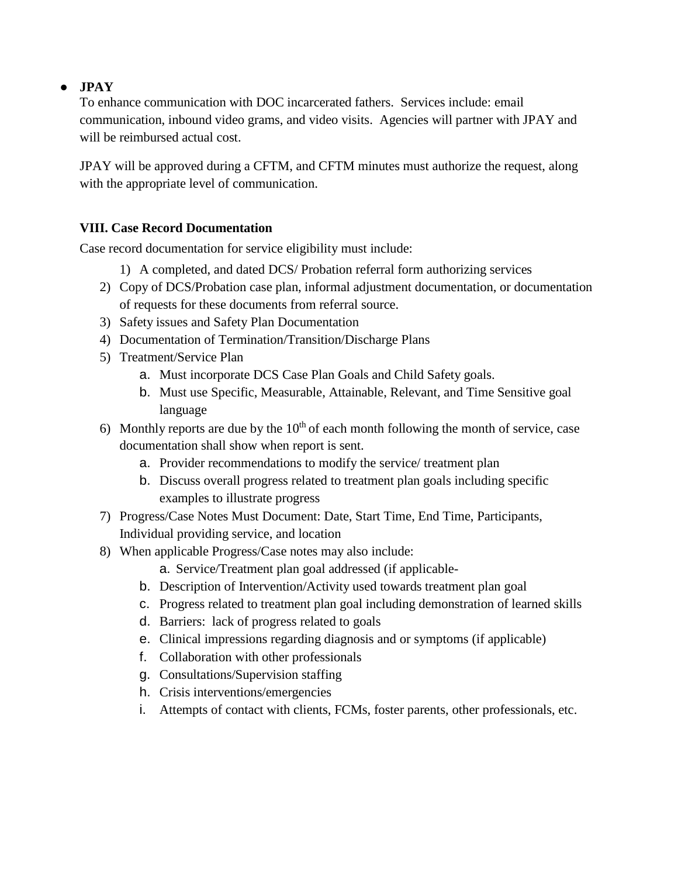## ● **JPAY**

To enhance communication with DOC incarcerated fathers. Services include: email communication, inbound video grams, and video visits. Agencies will partner with JPAY and will be reimbursed actual cost.

JPAY will be approved during a CFTM, and CFTM minutes must authorize the request, along with the appropriate level of communication.

## **VIII. Case Record Documentation**

Case record documentation for service eligibility must include:

- 1) A completed, and dated DCS/ Probation referral form authorizing services
- 2) Copy of DCS/Probation case plan, informal adjustment documentation, or documentation of requests for these documents from referral source.
- 3) Safety issues and Safety Plan Documentation
- 4) Documentation of Termination/Transition/Discharge Plans
- 5) Treatment/Service Plan
	- a. Must incorporate DCS Case Plan Goals and Child Safety goals.
	- b. Must use Specific, Measurable, Attainable, Relevant, and Time Sensitive goal language
- 6) Monthly reports are due by the  $10<sup>th</sup>$  of each month following the month of service, case documentation shall show when report is sent.
	- a. Provider recommendations to modify the service/ treatment plan
	- b. Discuss overall progress related to treatment plan goals including specific examples to illustrate progress
- 7) Progress/Case Notes Must Document: Date, Start Time, End Time, Participants, Individual providing service, and location
- 8) When applicable Progress/Case notes may also include:
	- a. Service/Treatment plan goal addressed (if applicable-
	- b. Description of Intervention/Activity used towards treatment plan goal
	- c. Progress related to treatment plan goal including demonstration of learned skills
	- d. Barriers: lack of progress related to goals
	- e. Clinical impressions regarding diagnosis and or symptoms (if applicable)
	- f. Collaboration with other professionals
	- g. Consultations/Supervision staffing
	- h. Crisis interventions/emergencies
	- i. Attempts of contact with clients, FCMs, foster parents, other professionals, etc.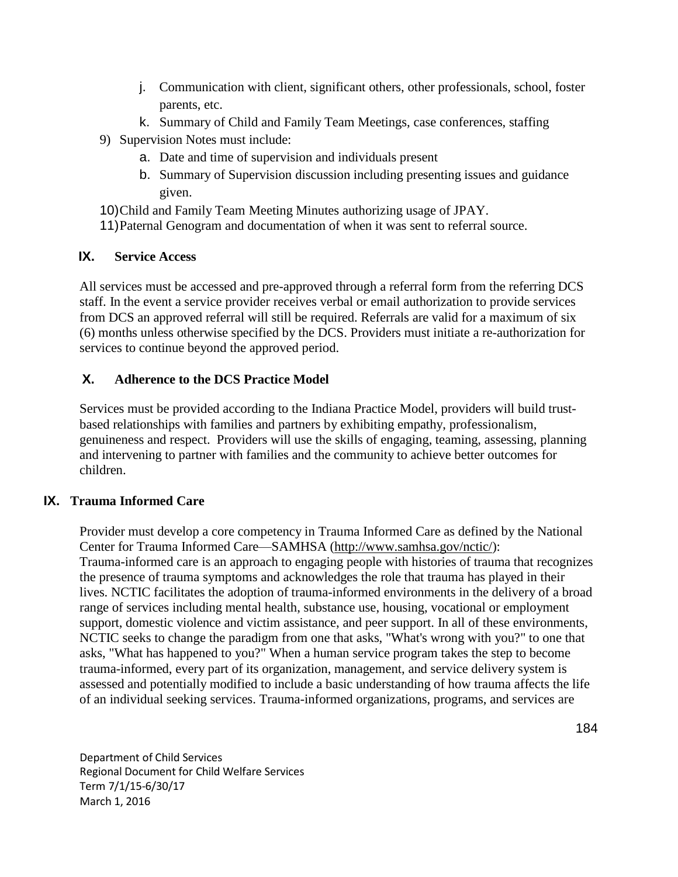- j. Communication with client, significant others, other professionals, school, foster parents, etc.
- k. Summary of Child and Family Team Meetings, case conferences, staffing
- 9) Supervision Notes must include:
	- a. Date and time of supervision and individuals present
	- b. Summary of Supervision discussion including presenting issues and guidance given.
- 10)Child and Family Team Meeting Minutes authorizing usage of JPAY.
- 11)Paternal Genogram and documentation of when it was sent to referral source.

## **IX. Service Access**

All services must be accessed and pre-approved through a referral form from the referring DCS staff. In the event a service provider receives verbal or email authorization to provide services from DCS an approved referral will still be required. Referrals are valid for a maximum of six (6) months unless otherwise specified by the DCS. Providers must initiate a re-authorization for services to continue beyond the approved period.

# **X. Adherence to the DCS Practice Model**

Services must be provided according to the Indiana Practice Model, providers will build trustbased relationships with families and partners by exhibiting empathy, professionalism, genuineness and respect. Providers will use the skills of engaging, teaming, assessing, planning and intervening to partner with families and the community to achieve better outcomes for children.

## **IX. Trauma Informed Care**

Provider must develop a core competency in Trauma Informed Care as defined by the National Center for Trauma Informed Care—SAMHSA [\(http://www.samhsa.gov/nctic/\)](http://www.samhsa.gov/nctic/): Trauma-informed care is an approach to engaging people with histories of trauma that recognizes the presence of trauma symptoms and acknowledges the role that trauma has played in their lives. NCTIC facilitates the adoption of trauma-informed environments in the delivery of a broad range of services including mental health, substance use, housing, vocational or employment support, domestic violence and victim assistance, and peer support. In all of these environments, NCTIC seeks to change the paradigm from one that asks, "What's wrong with you?" to one that asks, "What has happened to you?" When a human service program takes the step to become trauma-informed, every part of its organization, management, and service delivery system is assessed and potentially modified to include a basic understanding of how trauma affects the life of an individual seeking services. Trauma-informed organizations, programs, and services are

Department of Child Services Regional Document for Child Welfare Services Term 7/1/15-6/30/17 March 1, 2016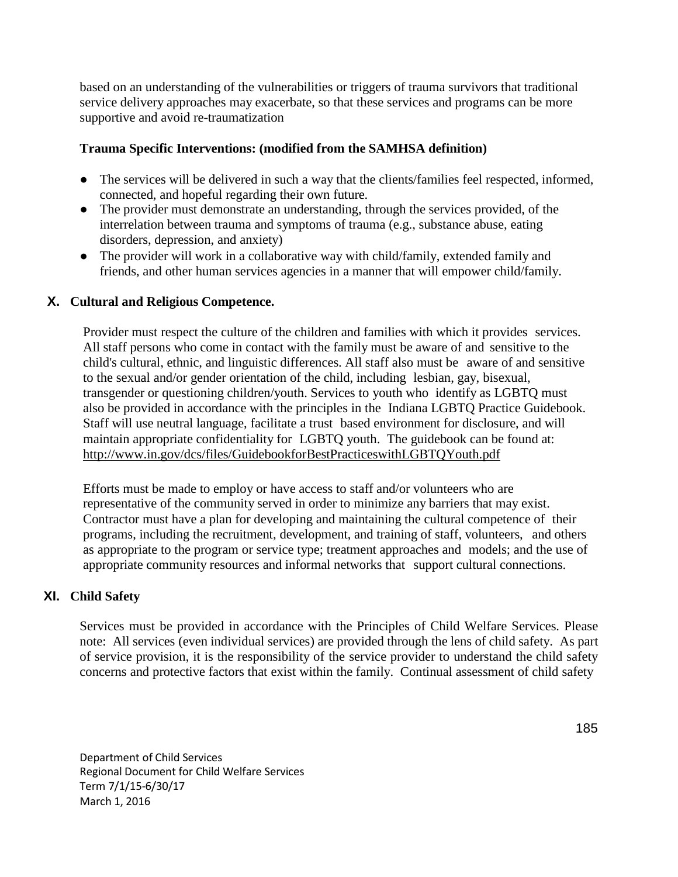based on an understanding of the vulnerabilities or triggers of trauma survivors that traditional service delivery approaches may exacerbate, so that these services and programs can be more supportive and avoid re-traumatization

### **Trauma Specific Interventions: (modified from the SAMHSA definition)**

- The services will be delivered in such a way that the clients/families feel respected, informed, connected, and hopeful regarding their own future.
- The provider must demonstrate an understanding, through the services provided, of the interrelation between trauma and symptoms of trauma (e.g., substance abuse, eating disorders, depression, and anxiety)
- The provider will work in a collaborative way with child/family, extended family and friends, and other human services agencies in a manner that will empower child/family.

## **X. Cultural and Religious Competence.**

Provider must respect the culture of the children and families with which it provides services. All staff persons who come in contact with the family must be aware of and sensitive to the child's cultural, ethnic, and linguistic differences. All staff also must be aware of and sensitive to the sexual and/or gender orientation of the child, including lesbian, gay, bisexual, transgender or questioning children/youth. Services to youth who identify as LGBTQ must also be provided in accordance with the principles in the Indiana LGBTQ Practice Guidebook. Staff will use neutral language, facilitate a trust based environment for disclosure, and will maintain appropriate confidentiality for LGBTQ youth. The guidebook can be found at: <http://www.in.gov/dcs/files/GuidebookforBestPracticeswithLGBTQYouth.pdf>

Efforts must be made to employ or have access to staff and/or volunteers who are representative of the community served in order to minimize any barriers that may exist. Contractor must have a plan for developing and maintaining the cultural competence of their programs, including the recruitment, development, and training of staff, volunteers, and others as appropriate to the program or service type; treatment approaches and models; and the use of appropriate community resources and informal networks that support cultural connections.

## **XI. Child Safety**

Services must be provided in accordance with the Principles of Child Welfare Services. Please note: All services (even individual services) are provided through the lens of child safety. As part of service provision, it is the responsibility of the service provider to understand the child safety concerns and protective factors that exist within the family. Continual assessment of child safety

Department of Child Services Regional Document for Child Welfare Services Term 7/1/15-6/30/17 March 1, 2016